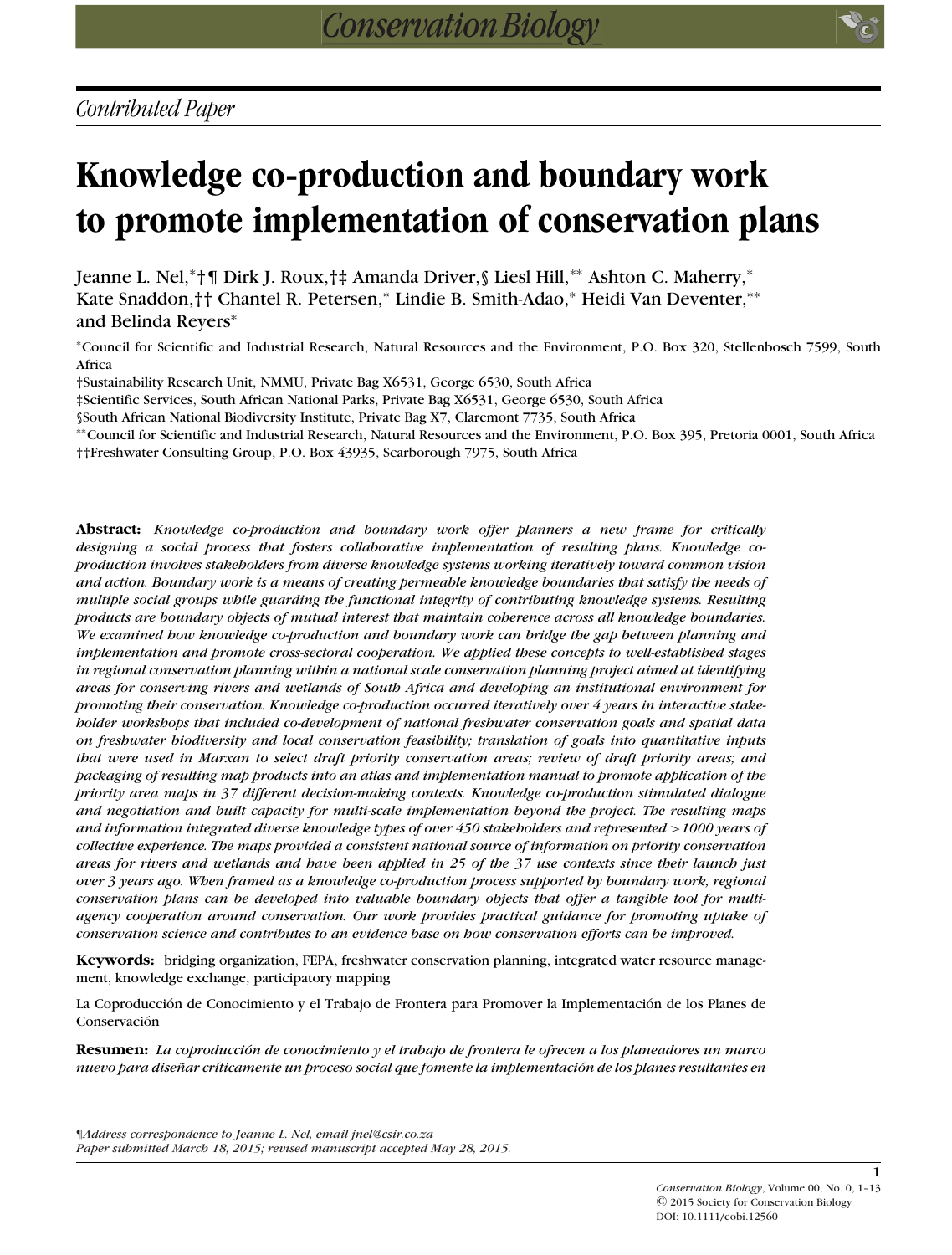# **Knowledge co-production and boundary work to promote implementation of conservation plans**

Jeanne L. Nel,∗†¶ Dirk J. Roux,†‡ Amanda Driver,§ Liesl Hill,∗∗ Ashton C. Maherry,<sup>∗</sup> Kate Snaddon,†† Chantel R. Petersen,<sup>∗</sup> Lindie B. Smith-Adao,<sup>∗</sup> Heidi Van Deventer,∗∗ and Belinda Reyers<sup>∗</sup>

<sup>∗</sup>Council for Scientific and Industrial Research, Natural Resources and the Environment, P.O. Box 320, Stellenbosch 7599, South Africa

†Sustainability Research Unit, NMMU, Private Bag X6531, George 6530, South Africa

‡Scientific Services, South African National Parks, Private Bag X6531, George 6530, South Africa

§South African National Biodiversity Institute, Private Bag X7, Claremont 7735, South Africa

∗∗Council for Scientific and Industrial Research, Natural Resources and the Environment, P.O. Box 395, Pretoria 0001, South Africa ††Freshwater Consulting Group, P.O. Box 43935, Scarborough 7975, South Africa

**Abstract:** *Knowledge co-production and boundary work offer planners a new frame for critically designing a social process that fosters collaborative implementation of resulting plans. Knowledge coproduction involves stakeholders from diverse knowledge systems working iteratively toward common vision and action. Boundary work is a means of creating permeable knowledge boundaries that satisfy the needs of multiple social groups while guarding the functional integrity of contributing knowledge systems. Resulting products are boundary objects of mutual interest that maintain coherence across all knowledge boundaries. We examined how knowledge co-production and boundary work can bridge the gap between planning and implementation and promote cross-sectoral cooperation. We applied these concepts to well-established stages in regional conservation planning within a national scale conservation planning project aimed at identifying areas for conserving rivers and wetlands of South Africa and developing an institutional environment for promoting their conservation. Knowledge co-production occurred iteratively over 4 years in interactive stakeholder workshops that included co-development of national freshwater conservation goals and spatial data on freshwater biodiversity and local conservation feasibility; translation of goals into quantitative inputs that were used in Marxan to select draft priority conservation areas; review of draft priority areas; and packaging of resulting map products into an atlas and implementation manual to promote application of the priority area maps in 37 different decision-making contexts. Knowledge co-production stimulated dialogue and negotiation and built capacity for multi-scale implementation beyond the project. The resulting maps and information integrated diverse knowledge types of over 450 stakeholders and represented >1000 years of collective experience. The maps provided a consistent national source of information on priority conservation areas for rivers and wetlands and have been applied in 25 of the 37 use contexts since their launch just over 3 years ago. When framed as a knowledge co-production process supported by boundary work, regional conservation plans can be developed into valuable boundary objects that offer a tangible tool for multiagency cooperation around conservation. Our work provides practical guidance for promoting uptake of conservation science and contributes to an evidence base on how conservation efforts can be improved.*

**Keywords:** bridging organization, FEPA, freshwater conservation planning, integrated water resource management, knowledge exchange, participatory mapping

La Coproducción de Conocimiento y el Trabajo de Frontera para Promover la Implementación de los Planes de Conservación

**Resumen:** *La coproduccion de conocimiento y el trabajo de frontera le ofrecen a los planeadores un marco ´ nuevo para disenar cr ˜ ´ıticamente un proceso social que fomente la implementacion de los planes resultantes en ´*

**1**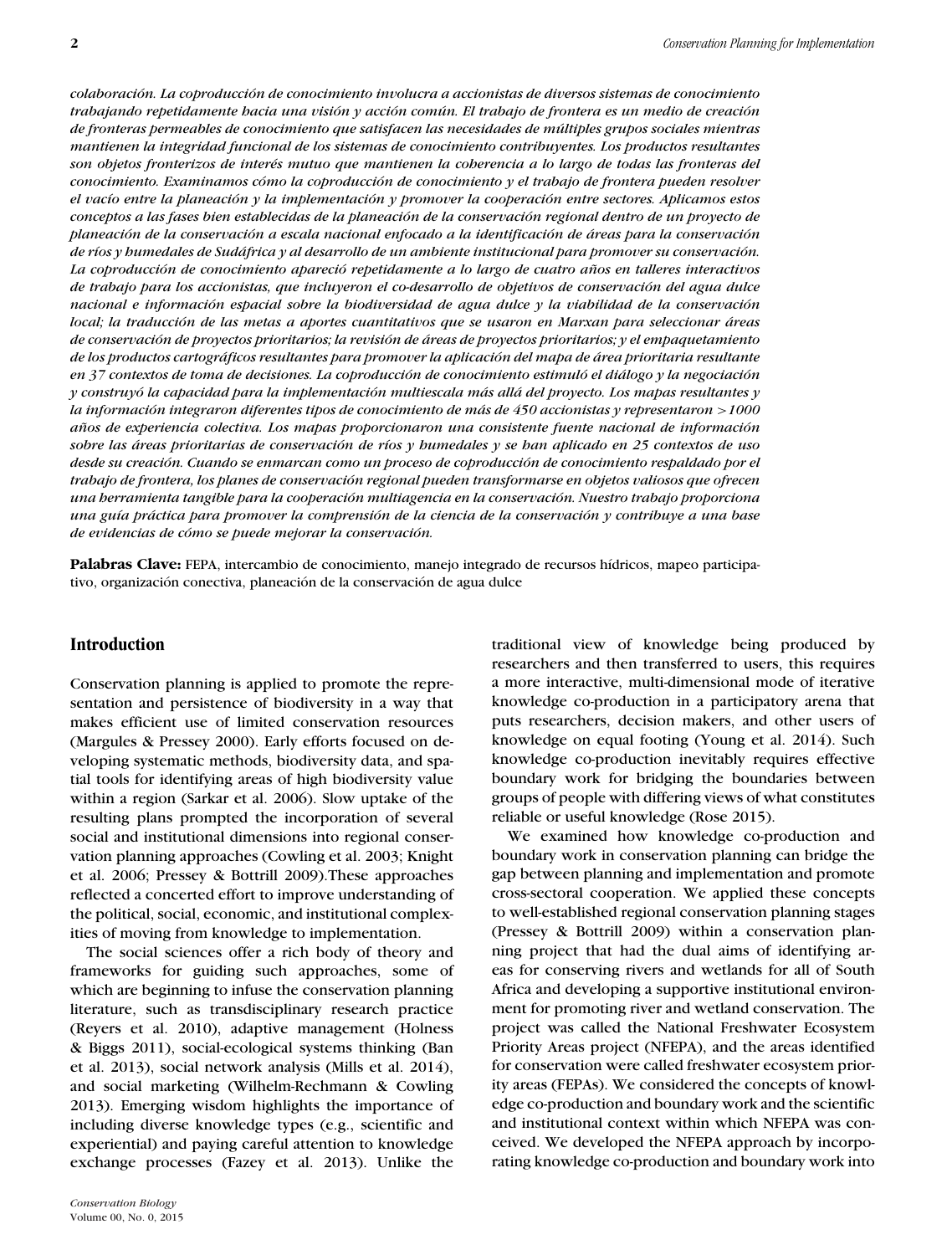*colaboracion. La coproducci ´ on de conocimiento involucra a accionistas de diversos sistemas de conocimiento ´ trabajando repetidamente hacia una vision y acci ´ on com ´ un. El trabajo de frontera es un medio de creaci ´ on´ de fronteras permeables de conocimiento que satisfacen las necesidades de multiples grupos sociales mientras ´ mantienen la integridad funcional de los sistemas de conocimiento contribuyentes. Los productos resultantes* son objetos fronterizos de interés mutuo que mantienen la coberencia a lo largo de todas las fronteras del *conocimiento. Examinamos como la coproducci ´ on de conocimiento y el trabajo de frontera pueden resolver ´ el vac´ıo entre la planeacion y la implementaci ´ on y promover la cooperaci ´ on entre sectores. Aplicamos estos ´ conceptos a las fases bien establecidas de la planeacion de la conservaci ´ on regional dentro de un proyecto de ´ planeacion de la conservaci ´ on a escala nacional enfocado a la identificaci ´ on de ´ areas para la conservaci ´ on´ de r´ıos y humedales de Sudafrica y al desarrollo de un ambiente institucional para promover su conservaci ´ on. ´ La coproduccion de conocimiento apareci ´ o repetidamente a lo largo de cuatro a ´ nos en talleres interactivos ˜ de trabajo para los accionistas, que incluyeron el co-desarrollo de objetivos de conservacion del agua dulce ´ nacional e información espacial sobre la biodiversidad de agua dulce y la viabilidad de la conservación local; la traduccion de las metas a aportes cuantitativos que se usaron en Marxan para seleccionar ´ areas ´ de conservacion de proyectos prioritarios; la revisi ´ on de ´ areas de proyectos prioritarios; y el empaquetamiento ´ de los productos cartograficos resultantes para promover la aplicaci ´ on del mapa de ´ area prioritaria resultante ´ en 37 contextos de toma de decisiones. La coproduccion de conocimiento estimul ´ o el di ´ alogo y la negociaci ´ on´ y construyo la capacidad para la implementaci ´ on multiescala m ´ as all ´ a del proyecto. Los mapas resultantes y ´ la informacion integraron diferentes tipos de conocimiento de m ´ as de 450 accionistas y representaron ´ >1000 anos de experiencia colectiva. Los mapas proporcionaron una consistente fuente nacional de informaci ˜ on´ sobre las areas prioritarias de conservaci ´ on de r ´ ´ıos y humedales y se han aplicado en 25 contextos de uso desde su creacion. Cuando se enmarcan como un proceso de coproducci ´ on de conocimiento respaldado por el ´ trabajo de frontera, los planes de conservacion regional pueden transformarse en objetos valiosos que ofrecen ´ una herramienta tangible para la cooperacion multiagencia en la conservaci ´ on. Nuestro trabajo proporciona ´ una gu´ıa practica para promover la comprensi ´ on de la ciencia de la conservaci ´ on y contribuye a una base ´ de evidencias de como se puede mejorar la conservaci ´ on. ´*

**Palabras Clave:** FEPA, intercambio de conocimiento, manejo integrado de recursos hídricos, mapeo participativo, organización conectiva, planeación de la conservación de agua dulce

# **Introduction**

Conservation planning is applied to promote the representation and persistence of biodiversity in a way that makes efficient use of limited conservation resources (Margules & Pressey 2000). Early efforts focused on developing systematic methods, biodiversity data, and spatial tools for identifying areas of high biodiversity value within a region (Sarkar et al. 2006). Slow uptake of the resulting plans prompted the incorporation of several social and institutional dimensions into regional conservation planning approaches (Cowling et al. 2003; Knight et al. 2006; Pressey & Bottrill 2009).These approaches reflected a concerted effort to improve understanding of the political, social, economic, and institutional complexities of moving from knowledge to implementation.

The social sciences offer a rich body of theory and frameworks for guiding such approaches, some of which are beginning to infuse the conservation planning literature, such as transdisciplinary research practice (Reyers et al. 2010), adaptive management (Holness & Biggs 2011), social-ecological systems thinking (Ban et al. 2013), social network analysis (Mills et al. 2014), and social marketing (Wilhelm-Rechmann & Cowling 2013). Emerging wisdom highlights the importance of including diverse knowledge types (e.g., scientific and experiential) and paying careful attention to knowledge exchange processes (Fazey et al. 2013). Unlike the

traditional view of knowledge being produced by researchers and then transferred to users, this requires a more interactive, multi-dimensional mode of iterative knowledge co-production in a participatory arena that puts researchers, decision makers, and other users of knowledge on equal footing (Young et al. 2014). Such knowledge co-production inevitably requires effective boundary work for bridging the boundaries between groups of people with differing views of what constitutes reliable or useful knowledge (Rose 2015).

We examined how knowledge co-production and boundary work in conservation planning can bridge the gap between planning and implementation and promote cross-sectoral cooperation. We applied these concepts to well-established regional conservation planning stages (Pressey & Bottrill 2009) within a conservation planning project that had the dual aims of identifying areas for conserving rivers and wetlands for all of South Africa and developing a supportive institutional environment for promoting river and wetland conservation. The project was called the National Freshwater Ecosystem Priority Areas project (NFEPA), and the areas identified for conservation were called freshwater ecosystem priority areas (FEPAs). We considered the concepts of knowledge co-production and boundary work and the scientific and institutional context within which NFEPA was conceived. We developed the NFEPA approach by incorporating knowledge co-production and boundary work into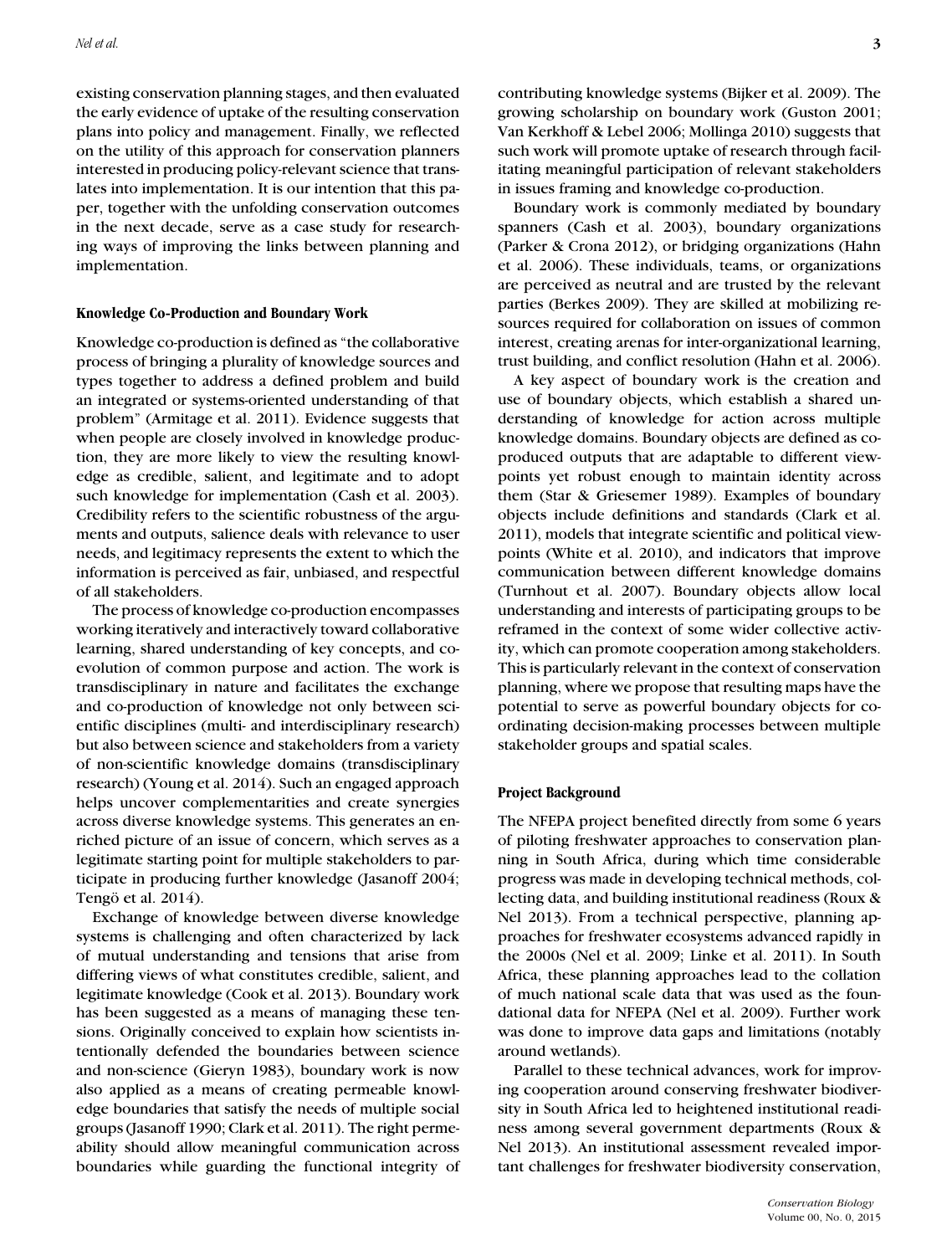existing conservation planning stages, and then evaluated the early evidence of uptake of the resulting conservation plans into policy and management. Finally, we reflected on the utility of this approach for conservation planners interested in producing policy-relevant science that translates into implementation. It is our intention that this paper, together with the unfolding conservation outcomes in the next decade, serve as a case study for researching ways of improving the links between planning and implementation.

#### **Knowledge Co-Production and Boundary Work**

Knowledge co-production is defined as "the collaborative process of bringing a plurality of knowledge sources and types together to address a defined problem and build an integrated or systems-oriented understanding of that problem" (Armitage et al. 2011). Evidence suggests that when people are closely involved in knowledge production, they are more likely to view the resulting knowledge as credible, salient, and legitimate and to adopt such knowledge for implementation (Cash et al. 2003). Credibility refers to the scientific robustness of the arguments and outputs, salience deals with relevance to user needs, and legitimacy represents the extent to which the information is perceived as fair, unbiased, and respectful of all stakeholders.

The process of knowledge co-production encompasses working iteratively and interactively toward collaborative learning, shared understanding of key concepts, and coevolution of common purpose and action. The work is transdisciplinary in nature and facilitates the exchange and co-production of knowledge not only between scientific disciplines (multi- and interdisciplinary research) but also between science and stakeholders from a variety of non-scientific knowledge domains (transdisciplinary research) (Young et al. 2014). Such an engaged approach helps uncover complementarities and create synergies across diverse knowledge systems. This generates an enriched picture of an issue of concern, which serves as a legitimate starting point for multiple stakeholders to participate in producing further knowledge (Jasanoff 2004; Tengö et al. 2014).

Exchange of knowledge between diverse knowledge systems is challenging and often characterized by lack of mutual understanding and tensions that arise from differing views of what constitutes credible, salient, and legitimate knowledge (Cook et al. 2013). Boundary work has been suggested as a means of managing these tensions. Originally conceived to explain how scientists intentionally defended the boundaries between science and non-science (Gieryn 1983), boundary work is now also applied as a means of creating permeable knowledge boundaries that satisfy the needs of multiple social groups (Jasanoff 1990; Clark et al. 2011). The right permeability should allow meaningful communication across boundaries while guarding the functional integrity of

contributing knowledge systems (Bijker et al. 2009). The growing scholarship on boundary work (Guston 2001; Van Kerkhoff & Lebel 2006; Mollinga 2010) suggests that such work will promote uptake of research through facilitating meaningful participation of relevant stakeholders in issues framing and knowledge co-production.

Boundary work is commonly mediated by boundary spanners (Cash et al. 2003), boundary organizations (Parker & Crona 2012), or bridging organizations (Hahn et al. 2006). These individuals, teams, or organizations are perceived as neutral and are trusted by the relevant parties (Berkes 2009). They are skilled at mobilizing resources required for collaboration on issues of common interest, creating arenas for inter-organizational learning, trust building, and conflict resolution (Hahn et al. 2006).

A key aspect of boundary work is the creation and use of boundary objects, which establish a shared understanding of knowledge for action across multiple knowledge domains. Boundary objects are defined as coproduced outputs that are adaptable to different viewpoints yet robust enough to maintain identity across them (Star & Griesemer 1989). Examples of boundary objects include definitions and standards (Clark et al. 2011), models that integrate scientific and political viewpoints (White et al. 2010), and indicators that improve communication between different knowledge domains (Turnhout et al. 2007). Boundary objects allow local understanding and interests of participating groups to be reframed in the context of some wider collective activity, which can promote cooperation among stakeholders. This is particularly relevant in the context of conservation planning, where we propose that resulting maps have the potential to serve as powerful boundary objects for coordinating decision-making processes between multiple stakeholder groups and spatial scales.

#### **Project Background**

The NFEPA project benefited directly from some 6 years of piloting freshwater approaches to conservation planning in South Africa, during which time considerable progress was made in developing technical methods, collecting data, and building institutional readiness (Roux & Nel 2013). From a technical perspective, planning approaches for freshwater ecosystems advanced rapidly in the 2000s (Nel et al. 2009; Linke et al. 2011). In South Africa, these planning approaches lead to the collation of much national scale data that was used as the foundational data for NFEPA (Nel et al. 2009). Further work was done to improve data gaps and limitations (notably around wetlands).

Parallel to these technical advances, work for improving cooperation around conserving freshwater biodiversity in South Africa led to heightened institutional readiness among several government departments (Roux & Nel 2013). An institutional assessment revealed important challenges for freshwater biodiversity conservation,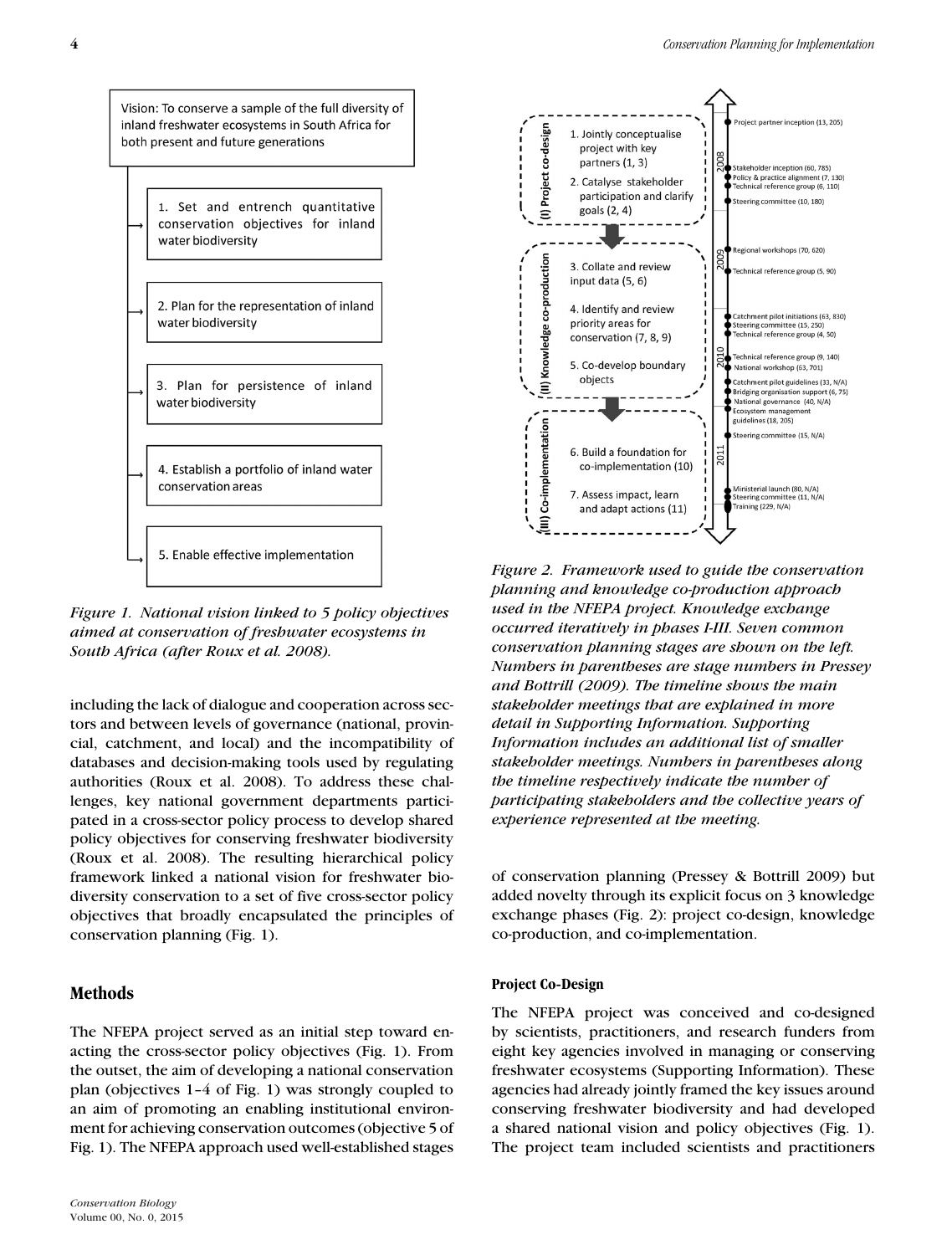Vision: To conserve a sample of the full diversity of inland freshwater ecosystems in South Africa for both present and future generations 1. Set and entrench quantitative conservation objectives for inland water biodiversity 2. Plan for the representation of inland water biodiversity 3. Plan for persistence of inland water biodiversity 4. Establish a portfolio of inland water conservation areas 5. Enable effective implementation

*Figure 1. National vision linked to 5 policy objectives aimed at conservation of freshwater ecosystems in South Africa (after Roux et al. 2008).*

including the lack of dialogue and cooperation across sectors and between levels of governance (national, provincial, catchment, and local) and the incompatibility of databases and decision-making tools used by regulating authorities (Roux et al. 2008). To address these challenges, key national government departments participated in a cross-sector policy process to develop shared policy objectives for conserving freshwater biodiversity (Roux et al. 2008). The resulting hierarchical policy framework linked a national vision for freshwater biodiversity conservation to a set of five cross-sector policy objectives that broadly encapsulated the principles of conservation planning (Fig. 1).

# **Methods**

The NFEPA project served as an initial step toward enacting the cross-sector policy objectives (Fig. 1). From the outset, the aim of developing a national conservation plan (objectives 1–4 of Fig. 1) was strongly coupled to an aim of promoting an enabling institutional environment for achieving conservation outcomes (objective 5 of Fig. 1). The NFEPA approach used well-established stages



*Figure 2. Framework used to guide the conservation planning and knowledge co-production approach used in the NFEPA project. Knowledge exchange occurred iteratively in phases I-III. Seven common conservation planning stages are shown on the left. Numbers in parentheses are stage numbers in Pressey and Bottrill (2009). The timeline shows the main stakeholder meetings that are explained in more detail in Supporting Information. Supporting Information includes an additional list of smaller stakeholder meetings. Numbers in parentheses along the timeline respectively indicate the number of participating stakeholders and the collective years of experience represented at the meeting.*

of conservation planning (Pressey & Bottrill 2009) but added novelty through its explicit focus on 3 knowledge exchange phases (Fig. 2): project co-design, knowledge co-production, and co-implementation.

#### **Project Co-Design**

The NFEPA project was conceived and co-designed by scientists, practitioners, and research funders from eight key agencies involved in managing or conserving freshwater ecosystems (Supporting Information). These agencies had already jointly framed the key issues around conserving freshwater biodiversity and had developed a shared national vision and policy objectives (Fig. 1). The project team included scientists and practitioners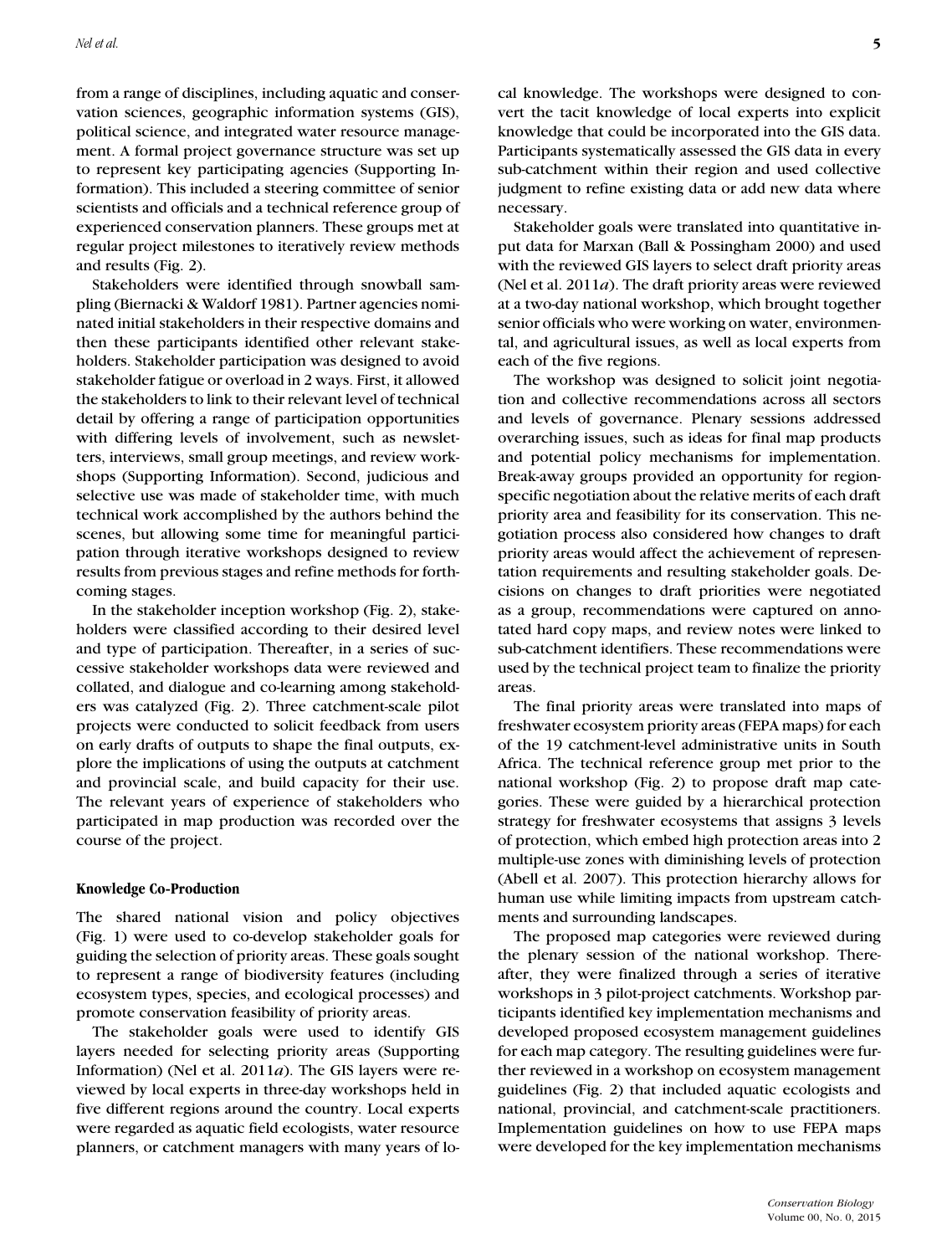from a range of disciplines, including aquatic and conservation sciences, geographic information systems (GIS), political science, and integrated water resource management. A formal project governance structure was set up to represent key participating agencies (Supporting Information). This included a steering committee of senior scientists and officials and a technical reference group of experienced conservation planners. These groups met at regular project milestones to iteratively review methods and results (Fig. 2).

Stakeholders were identified through snowball sampling (Biernacki & Waldorf 1981). Partner agencies nominated initial stakeholders in their respective domains and then these participants identified other relevant stakeholders. Stakeholder participation was designed to avoid stakeholder fatigue or overload in 2 ways. First, it allowed the stakeholders to link to their relevant level of technical detail by offering a range of participation opportunities with differing levels of involvement, such as newsletters, interviews, small group meetings, and review workshops (Supporting Information). Second, judicious and selective use was made of stakeholder time, with much technical work accomplished by the authors behind the scenes, but allowing some time for meaningful participation through iterative workshops designed to review results from previous stages and refine methods for forthcoming stages.

In the stakeholder inception workshop (Fig. 2), stakeholders were classified according to their desired level and type of participation. Thereafter, in a series of successive stakeholder workshops data were reviewed and collated, and dialogue and co-learning among stakeholders was catalyzed (Fig. 2). Three catchment-scale pilot projects were conducted to solicit feedback from users on early drafts of outputs to shape the final outputs, explore the implications of using the outputs at catchment and provincial scale, and build capacity for their use. The relevant years of experience of stakeholders who participated in map production was recorded over the course of the project.

#### **Knowledge Co-Production**

The shared national vision and policy objectives (Fig. 1) were used to co-develop stakeholder goals for guiding the selection of priority areas. These goals sought to represent a range of biodiversity features (including ecosystem types, species, and ecological processes) and promote conservation feasibility of priority areas.

The stakeholder goals were used to identify GIS layers needed for selecting priority areas (Supporting Information) (Nel et al. 2011*a*). The GIS layers were reviewed by local experts in three-day workshops held in five different regions around the country. Local experts were regarded as aquatic field ecologists, water resource planners, or catchment managers with many years of lo-

Stakeholder goals were translated into quantitative input data for Marxan (Ball & Possingham 2000) and used with the reviewed GIS layers to select draft priority areas (Nel et al. 2011*a*). The draft priority areas were reviewed at a two-day national workshop, which brought together senior officials who were working on water, environmental, and agricultural issues, as well as local experts from each of the five regions.

The workshop was designed to solicit joint negotiation and collective recommendations across all sectors and levels of governance. Plenary sessions addressed overarching issues, such as ideas for final map products and potential policy mechanisms for implementation. Break-away groups provided an opportunity for regionspecific negotiation about the relative merits of each draft priority area and feasibility for its conservation. This negotiation process also considered how changes to draft priority areas would affect the achievement of representation requirements and resulting stakeholder goals. Decisions on changes to draft priorities were negotiated as a group, recommendations were captured on annotated hard copy maps, and review notes were linked to sub-catchment identifiers. These recommendations were used by the technical project team to finalize the priority areas.

The final priority areas were translated into maps of freshwater ecosystem priority areas (FEPA maps) for each of the 19 catchment-level administrative units in South Africa. The technical reference group met prior to the national workshop (Fig. 2) to propose draft map categories. These were guided by a hierarchical protection strategy for freshwater ecosystems that assigns 3 levels of protection, which embed high protection areas into 2 multiple-use zones with diminishing levels of protection (Abell et al. 2007). This protection hierarchy allows for human use while limiting impacts from upstream catchments and surrounding landscapes.

The proposed map categories were reviewed during the plenary session of the national workshop. Thereafter, they were finalized through a series of iterative workshops in 3 pilot-project catchments. Workshop participants identified key implementation mechanisms and developed proposed ecosystem management guidelines for each map category. The resulting guidelines were further reviewed in a workshop on ecosystem management guidelines (Fig. 2) that included aquatic ecologists and national, provincial, and catchment-scale practitioners. Implementation guidelines on how to use FEPA maps were developed for the key implementation mechanisms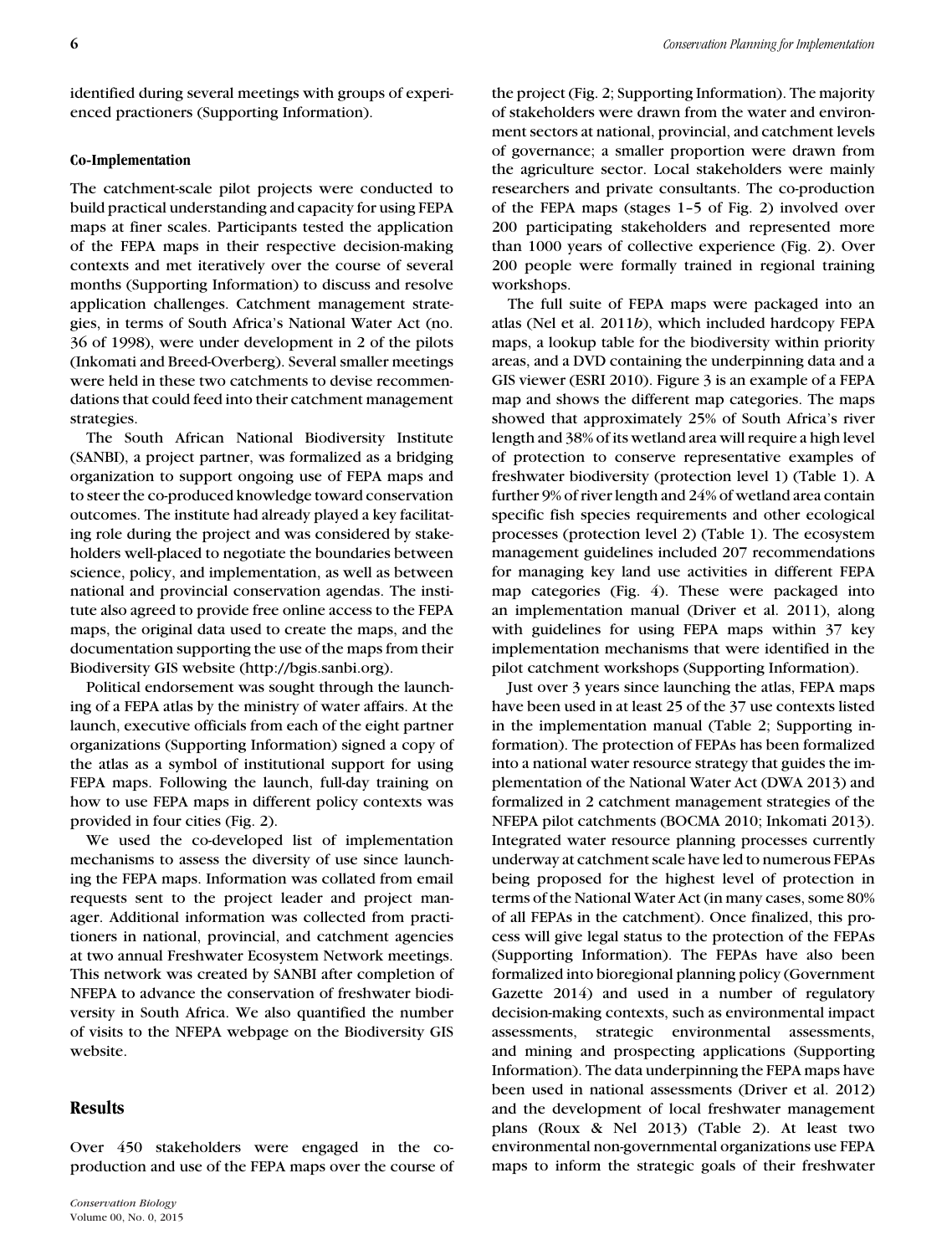identified during several meetings with groups of experienced practioners (Supporting Information).

### **Co-Implementation**

The catchment-scale pilot projects were conducted to build practical understanding and capacity for using FEPA maps at finer scales. Participants tested the application of the FEPA maps in their respective decision-making contexts and met iteratively over the course of several months (Supporting Information) to discuss and resolve application challenges. Catchment management strategies, in terms of South Africa's National Water Act (no. 36 of 1998), were under development in 2 of the pilots (Inkomati and Breed-Overberg). Several smaller meetings were held in these two catchments to devise recommendations that could feed into their catchment management strategies.

The South African National Biodiversity Institute (SANBI), a project partner, was formalized as a bridging organization to support ongoing use of FEPA maps and to steer the co-produced knowledge toward conservation outcomes. The institute had already played a key facilitating role during the project and was considered by stakeholders well-placed to negotiate the boundaries between science, policy, and implementation, as well as between national and provincial conservation agendas. The institute also agreed to provide free online access to the FEPA maps, the original data used to create the maps, and the documentation supporting the use of the maps from their Biodiversity GIS website (http://bgis.sanbi.org).

Political endorsement was sought through the launching of a FEPA atlas by the ministry of water affairs. At the launch, executive officials from each of the eight partner organizations (Supporting Information) signed a copy of the atlas as a symbol of institutional support for using FEPA maps. Following the launch, full-day training on how to use FEPA maps in different policy contexts was provided in four cities (Fig. 2).

We used the co-developed list of implementation mechanisms to assess the diversity of use since launching the FEPA maps. Information was collated from email requests sent to the project leader and project manager. Additional information was collected from practitioners in national, provincial, and catchment agencies at two annual Freshwater Ecosystem Network meetings. This network was created by SANBI after completion of NFEPA to advance the conservation of freshwater biodiversity in South Africa. We also quantified the number of visits to the NFEPA webpage on the Biodiversity GIS website.

### **Results**

Over 450 stakeholders were engaged in the coproduction and use of the FEPA maps over the course of the project (Fig. 2; Supporting Information). The majority of stakeholders were drawn from the water and environment sectors at national, provincial, and catchment levels of governance; a smaller proportion were drawn from the agriculture sector. Local stakeholders were mainly researchers and private consultants. The co-production of the FEPA maps (stages 1–5 of Fig. 2) involved over 200 participating stakeholders and represented more than 1000 years of collective experience (Fig. 2). Over 200 people were formally trained in regional training workshops.

The full suite of FEPA maps were packaged into an atlas (Nel et al. 2011*b*), which included hardcopy FEPA maps, a lookup table for the biodiversity within priority areas, and a DVD containing the underpinning data and a GIS viewer (ESRI 2010). Figure 3 is an example of a FEPA map and shows the different map categories. The maps showed that approximately 25% of South Africa's river length and 38% of its wetland area will require a high level of protection to conserve representative examples of freshwater biodiversity (protection level 1) (Table 1). A further 9% of river length and 24% of wetland area contain specific fish species requirements and other ecological processes (protection level 2) (Table 1). The ecosystem management guidelines included 207 recommendations for managing key land use activities in different FEPA map categories (Fig. 4). These were packaged into an implementation manual (Driver et al. 2011), along with guidelines for using FEPA maps within 37 key implementation mechanisms that were identified in the pilot catchment workshops (Supporting Information).

Just over 3 years since launching the atlas, FEPA maps have been used in at least 25 of the 37 use contexts listed in the implementation manual (Table 2; Supporting information). The protection of FEPAs has been formalized into a national water resource strategy that guides the implementation of the National Water Act (DWA 2013) and formalized in 2 catchment management strategies of the NFEPA pilot catchments (BOCMA 2010; Inkomati 2013). Integrated water resource planning processes currently underway at catchment scale have led to numerous FEPAs being proposed for the highest level of protection in terms of the National Water Act (in many cases, some 80% of all FEPAs in the catchment). Once finalized, this process will give legal status to the protection of the FEPAs (Supporting Information). The FEPAs have also been formalized into bioregional planning policy (Government Gazette 2014) and used in a number of regulatory decision-making contexts, such as environmental impact assessments, strategic environmental assessments, and mining and prospecting applications (Supporting Information). The data underpinning the FEPA maps have been used in national assessments (Driver et al. 2012) and the development of local freshwater management plans (Roux & Nel 2013) (Table 2). At least two environmental non-governmental organizations use FEPA maps to inform the strategic goals of their freshwater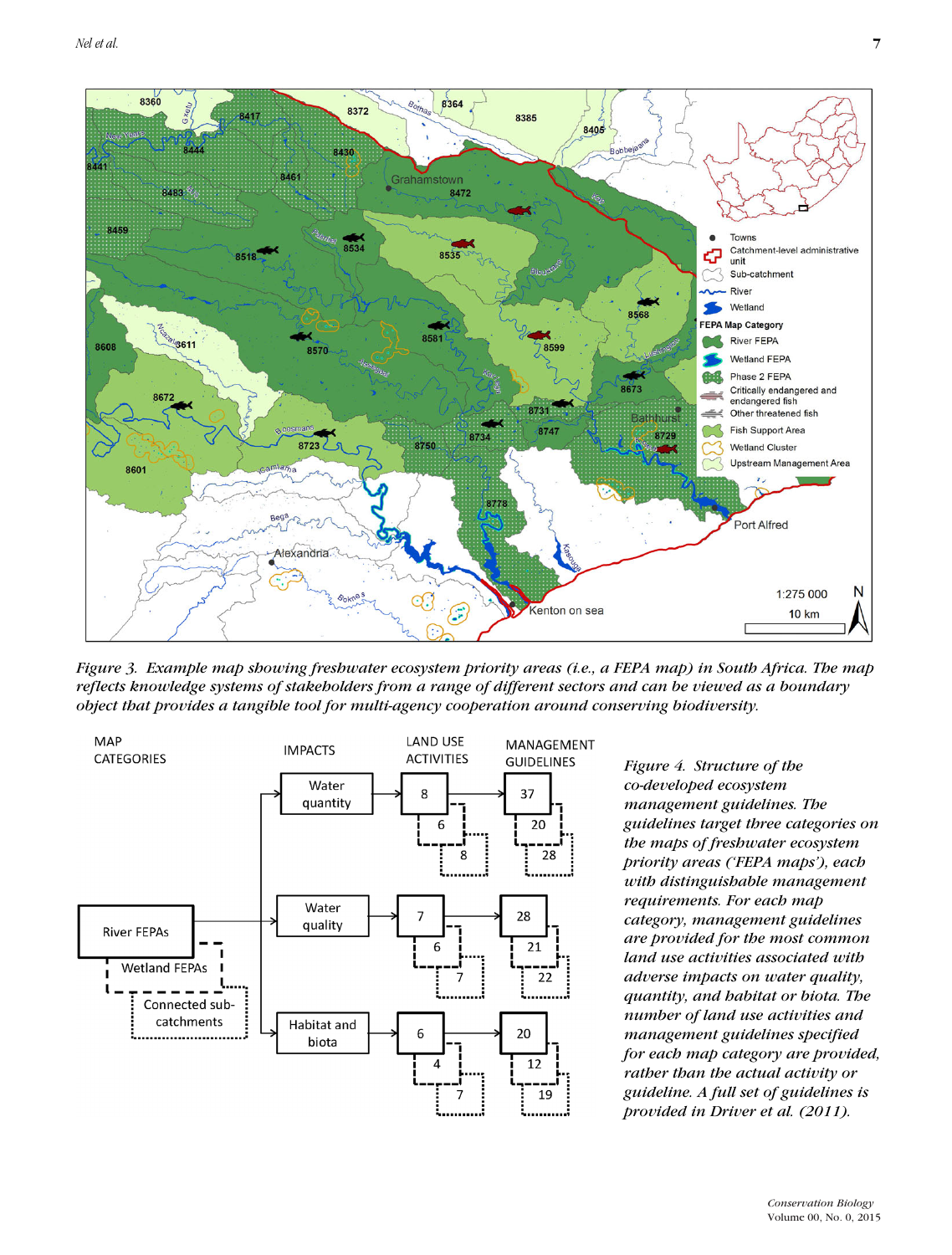

*Figure 3. Example map showing freshwater ecosystem priority areas (i.e., a FEPA map) in South Africa. The map reflects knowledge systems of stakeholders from a range of different sectors and can be viewed as a boundary object that provides a tangible tool for multi-agency cooperation around conserving biodiversity.*



*Figure 4. Structure of the co-developed ecosystem management guidelines. The guidelines target three categories on the maps of freshwater ecosystem priority areas ('FEPA maps'), each with distinguishable management requirements. For each map category, management guidelines are provided for the most common land use activities associated with adverse impacts on water quality, quantity, and habitat or biota. The number of land use activities and management guidelines specified for each map category are provided, rather than the actual activity or guideline. A full set of guidelines is provided in Driver et al. (2011).*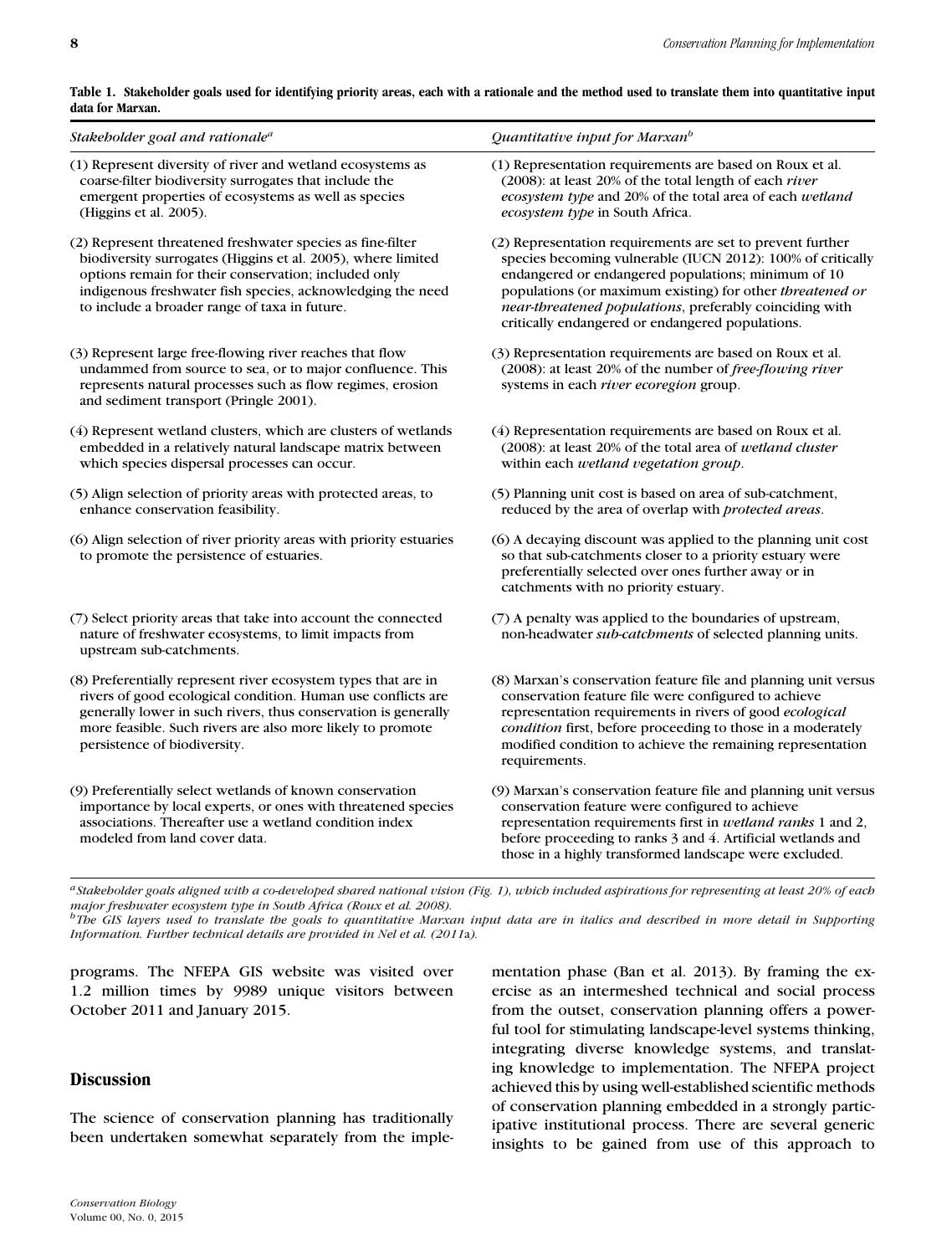|                  | Table 1. Stakeholder goals used for identifying priority areas, each with a rationale and the method used to translate them into quantitative input |  |  |
|------------------|-----------------------------------------------------------------------------------------------------------------------------------------------------|--|--|
| data for Marxan. |                                                                                                                                                     |  |  |

| Stakeholder goal and rationale <sup>a</sup>                                                                                                                                                                                                                                                       | Quantitative input for Marxan <sup>b</sup>                                                                                                                                                                                                                                                                                                                   |
|---------------------------------------------------------------------------------------------------------------------------------------------------------------------------------------------------------------------------------------------------------------------------------------------------|--------------------------------------------------------------------------------------------------------------------------------------------------------------------------------------------------------------------------------------------------------------------------------------------------------------------------------------------------------------|
| (1) Represent diversity of river and wetland ecosystems as<br>coarse-filter biodiversity surrogates that include the<br>emergent properties of ecosystems as well as species<br>(Higgins et al. 2005).                                                                                            | (1) Representation requirements are based on Roux et al.<br>(2008): at least 20% of the total length of each river<br>ecosystem type and 20% of the total area of each wetland<br>ecosystem type in South Africa.                                                                                                                                            |
| (2) Represent threatened freshwater species as fine-filter<br>biodiversity surrogates (Higgins et al. 2005), where limited<br>options remain for their conservation; included only<br>indigenous freshwater fish species, acknowledging the need<br>to include a broader range of taxa in future. | (2) Representation requirements are set to prevent further<br>species becoming vulnerable (IUCN 2012): 100% of critically<br>endangered or endangered populations; minimum of 10<br>populations (or maximum existing) for other threatened or<br>near-threatened populations, preferably coinciding with<br>critically endangered or endangered populations. |
| (3) Represent large free-flowing river reaches that flow<br>undammed from source to sea, or to major confluence. This<br>represents natural processes such as flow regimes, erosion<br>and sediment transport (Pringle 2001).                                                                     | (3) Representation requirements are based on Roux et al.<br>(2008): at least 20% of the number of free-flowing river<br>systems in each <i>river ecoregion</i> group.                                                                                                                                                                                        |
| (4) Represent wetland clusters, which are clusters of wetlands<br>embedded in a relatively natural landscape matrix between<br>which species dispersal processes can occur.                                                                                                                       | (4) Representation requirements are based on Roux et al.<br>(2008): at least 20% of the total area of wetland cluster<br>within each wetland vegetation group.                                                                                                                                                                                               |
| (5) Align selection of priority areas with protected areas, to<br>enhance conservation feasibility.                                                                                                                                                                                               | (5) Planning unit cost is based on area of sub-catchment,<br>reduced by the area of overlap with protected areas.                                                                                                                                                                                                                                            |
| (6) Align selection of river priority areas with priority estuaries<br>to promote the persistence of estuaries.                                                                                                                                                                                   | (6) A decaying discount was applied to the planning unit cost<br>so that sub-catchments closer to a priority estuary were<br>preferentially selected over ones further away or in<br>catchments with no priority estuary.                                                                                                                                    |
| (7) Select priority areas that take into account the connected<br>nature of freshwater ecosystems, to limit impacts from<br>upstream sub-catchments.                                                                                                                                              | (7) A penalty was applied to the boundaries of upstream,<br>non-headwater sub-catchments of selected planning units.                                                                                                                                                                                                                                         |
| (8) Preferentially represent river ecosystem types that are in<br>rivers of good ecological condition. Human use conflicts are<br>generally lower in such rivers, thus conservation is generally<br>more feasible. Such rivers are also more likely to promote<br>persistence of biodiversity.    | (8) Marxan's conservation feature file and planning unit versus<br>conservation feature file were configured to achieve<br>representation requirements in rivers of good ecological<br>condition first, before proceeding to those in a moderately<br>modified condition to achieve the remaining representation<br>requirements.                            |
| (9) Preferentially select wetlands of known conservation<br>importance by local experts, or ones with threatened species<br>associations. Thereafter use a wetland condition index<br>modeled from land cover data.                                                                               | (9) Marxan's conservation feature file and planning unit versus<br>conservation feature were configured to achieve<br>representation requirements first in wetland ranks 1 and 2,<br>before proceeding to ranks 3 and 4. Artificial wetlands and<br>those in a highly transformed landscape were excluded.                                                   |

*aStakeholder goals aligned with a co-developed shared national vision (Fig. 1), which included aspirations for representing at least 20% of each major freshwater ecosystem type in South Africa (Roux et al. 2008). bThe GIS layers used to translate the goals to quantitative Marxan input data are in italics and described in more detail in Supporting Information. Further technical details are provided in Nel et al. (2011*a*).*

programs. The NFEPA GIS website was visited over 1.2 million times by 9989 unique visitors between October 2011 and January 2015.

# **Discussion**

The science of conservation planning has traditionally been undertaken somewhat separately from the implementation phase (Ban et al. 2013). By framing the exercise as an intermeshed technical and social process from the outset, conservation planning offers a powerful tool for stimulating landscape-level systems thinking, integrating diverse knowledge systems, and translating knowledge to implementation. The NFEPA project achieved this by using well-established scientific methods of conservation planning embedded in a strongly participative institutional process. There are several generic insights to be gained from use of this approach to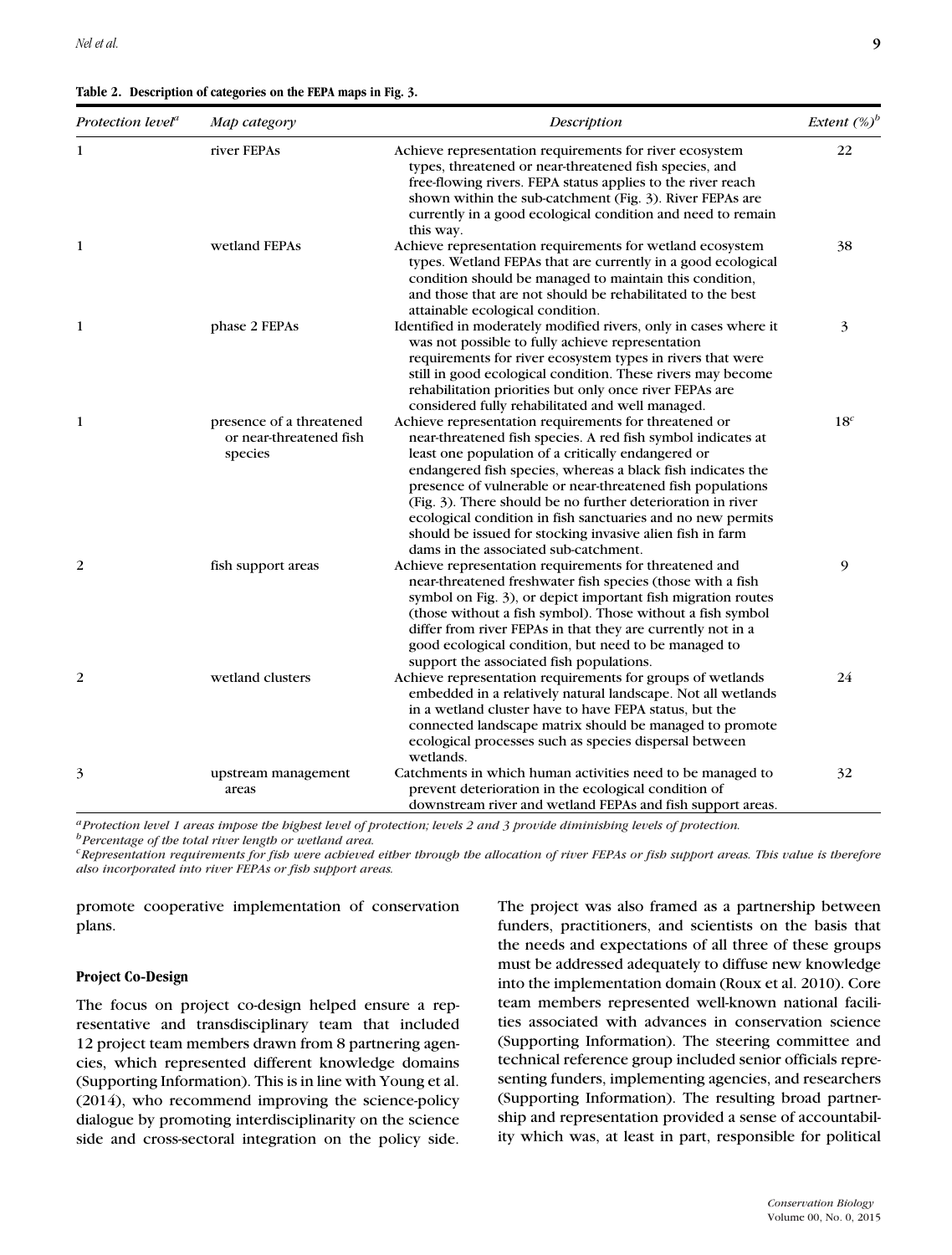|  |  | Table 2. Description of categories on the FEPA maps in Fig. 3. |  |  |  |  |
|--|--|----------------------------------------------------------------|--|--|--|--|
|--|--|----------------------------------------------------------------|--|--|--|--|

| Protection level <sup>a</sup> | Map category                                                   | Description                                                                                                                                                                                                                                                                                                                                                                                                                                                                                                                                  | Extent $(\%)^b$ |
|-------------------------------|----------------------------------------------------------------|----------------------------------------------------------------------------------------------------------------------------------------------------------------------------------------------------------------------------------------------------------------------------------------------------------------------------------------------------------------------------------------------------------------------------------------------------------------------------------------------------------------------------------------------|-----------------|
| 1                             | river FEPAs                                                    | Achieve representation requirements for river ecosystem<br>types, threatened or near-threatened fish species, and<br>free-flowing rivers. FEPA status applies to the river reach<br>shown within the sub-catchment (Fig. 3). River FEPAs are<br>currently in a good ecological condition and need to remain<br>this way.                                                                                                                                                                                                                     | 22              |
| 1                             | wetland FEPAs                                                  | Achieve representation requirements for wetland ecosystem<br>types. Wetland FEPAs that are currently in a good ecological<br>condition should be managed to maintain this condition,<br>and those that are not should be rehabilitated to the best<br>attainable ecological condition.                                                                                                                                                                                                                                                       | 38              |
| 1                             | phase 2 FEPAs                                                  | Identified in moderately modified rivers, only in cases where it<br>was not possible to fully achieve representation<br>requirements for river ecosystem types in rivers that were<br>still in good ecological condition. These rivers may become<br>rehabilitation priorities but only once river FEPAs are<br>considered fully rehabilitated and well managed.                                                                                                                                                                             | 3               |
| $\mathbf{1}$                  | presence of a threatened<br>or near-threatened fish<br>species | Achieve representation requirements for threatened or<br>near-threatened fish species. A red fish symbol indicates at<br>least one population of a critically endangered or<br>endangered fish species, whereas a black fish indicates the<br>presence of vulnerable or near-threatened fish populations<br>(Fig. 3). There should be no further deterioration in river<br>ecological condition in fish sanctuaries and no new permits<br>should be issued for stocking invasive alien fish in farm<br>dams in the associated sub-catchment. | 18 <sup>c</sup> |
| 2                             | fish support areas                                             | Achieve representation requirements for threatened and<br>near-threatened freshwater fish species (those with a fish<br>symbol on Fig. 3), or depict important fish migration routes<br>(those without a fish symbol). Those without a fish symbol<br>differ from river FEPAs in that they are currently not in a<br>good ecological condition, but need to be managed to<br>support the associated fish populations.                                                                                                                        | 9               |
| 2                             | wetland clusters                                               | Achieve representation requirements for groups of wetlands<br>embedded in a relatively natural landscape. Not all wetlands<br>in a wetland cluster have to have FEPA status, but the<br>connected landscape matrix should be managed to promote<br>ecological processes such as species dispersal between<br>wetlands.                                                                                                                                                                                                                       | 24              |
| 3                             | upstream management<br>areas                                   | Catchments in which human activities need to be managed to<br>prevent deterioration in the ecological condition of<br>downstream river and wetland FEPAs and fish support areas.                                                                                                                                                                                                                                                                                                                                                             | 32              |

*aProtection level 1 areas impose the highest level of protection; levels 2 and 3 provide diminishing levels of protection.*

*bPercentage of the total river length or wetland area.*

*cRepresentation requirements for fish were achieved either through the allocation of river FEPAs or fish support areas. This value is therefore also incorporated into river FEPAs or fish support areas.*

promote cooperative implementation of conservation plans.

### **Project Co-Design**

The focus on project co-design helped ensure a representative and transdisciplinary team that included 12 project team members drawn from 8 partnering agencies, which represented different knowledge domains (Supporting Information). This is in line with Young et al. (2014), who recommend improving the science-policy dialogue by promoting interdisciplinarity on the science side and cross-sectoral integration on the policy side. The project was also framed as a partnership between funders, practitioners, and scientists on the basis that the needs and expectations of all three of these groups must be addressed adequately to diffuse new knowledge into the implementation domain (Roux et al. 2010). Core team members represented well-known national facilities associated with advances in conservation science (Supporting Information). The steering committee and technical reference group included senior officials representing funders, implementing agencies, and researchers (Supporting Information). The resulting broad partnership and representation provided a sense of accountability which was, at least in part, responsible for political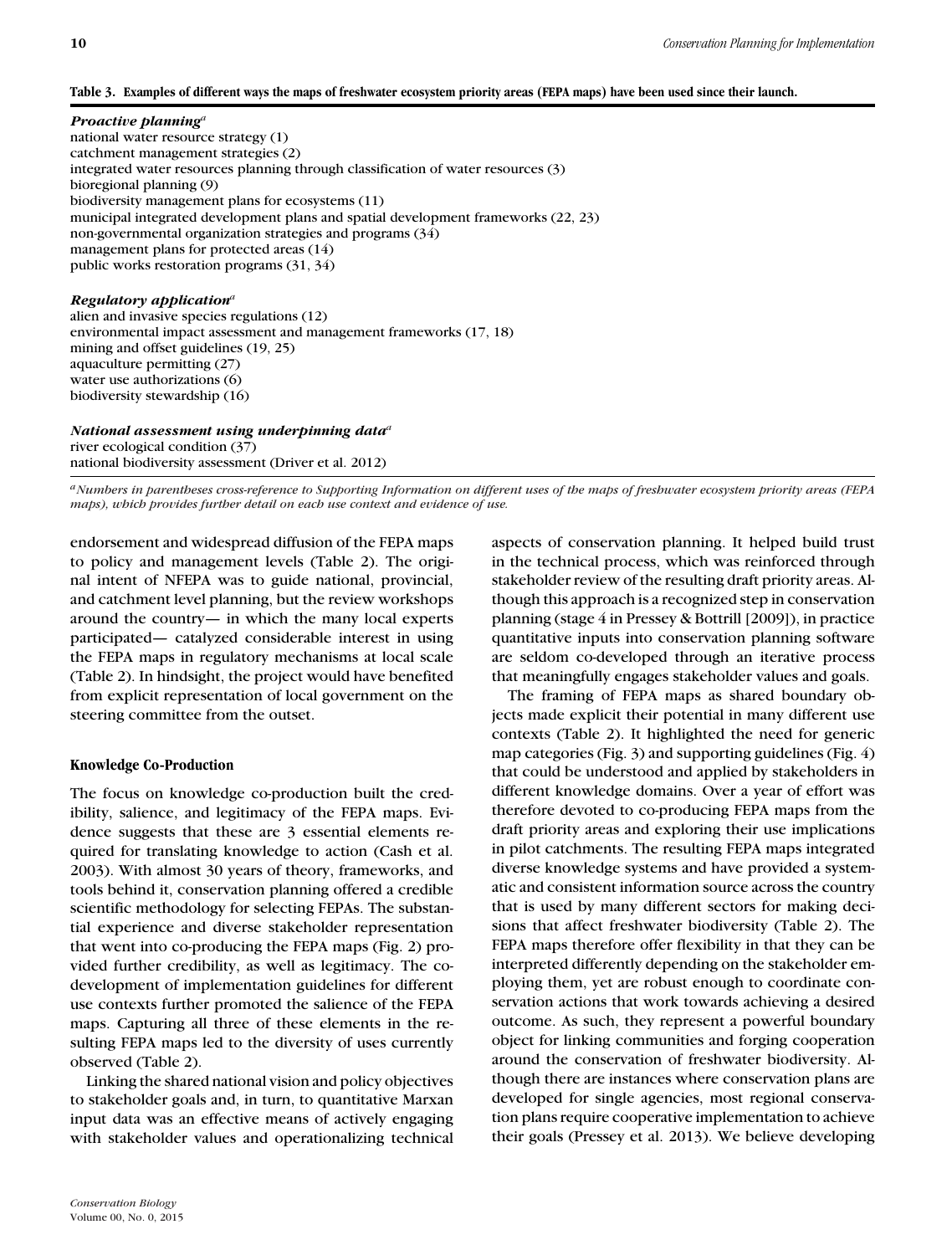## **Table 3. Examples of different ways the maps of freshwater ecosystem priority areas (FEPA maps) have been used since their launch.**

### *Proactive planning<sup>a</sup>*

national water resource strategy (1) catchment management strategies (2) integrated water resources planning through classification of water resources (3) bioregional planning (9) biodiversity management plans for ecosystems (11) municipal integrated development plans and spatial development frameworks (22, 23) non-governmental organization strategies and programs (34) management plans for protected areas (14) public works restoration programs (31, 34)

# *Regulatory application<sup>a</sup>*

alien and invasive species regulations (12) environmental impact assessment and management frameworks (17, 18) mining and offset guidelines (19, 25) aquaculture permitting (27) water use authorizations (6) biodiversity stewardship (16)

*National assessment using underpinning data<sup>a</sup>* river ecological condition (37) national biodiversity assessment (Driver et al. 2012)

*aNumbers in parentheses cross-reference to Supporting Information on different uses of the maps of freshwater ecosystem priority areas (FEPA maps), which provides further detail on each use context and evidence of use.*

endorsement and widespread diffusion of the FEPA maps to policy and management levels (Table 2). The original intent of NFEPA was to guide national, provincial, and catchment level planning, but the review workshops around the country— in which the many local experts participated— catalyzed considerable interest in using the FEPA maps in regulatory mechanisms at local scale (Table 2). In hindsight, the project would have benefited from explicit representation of local government on the steering committee from the outset.

### **Knowledge Co-Production**

The focus on knowledge co-production built the credibility, salience, and legitimacy of the FEPA maps. Evidence suggests that these are 3 essential elements required for translating knowledge to action (Cash et al. 2003). With almost 30 years of theory, frameworks, and tools behind it, conservation planning offered a credible scientific methodology for selecting FEPAs. The substantial experience and diverse stakeholder representation that went into co-producing the FEPA maps (Fig. 2) provided further credibility, as well as legitimacy. The codevelopment of implementation guidelines for different use contexts further promoted the salience of the FEPA maps. Capturing all three of these elements in the resulting FEPA maps led to the diversity of uses currently observed (Table 2).

Linking the shared national vision and policy objectives to stakeholder goals and, in turn, to quantitative Marxan input data was an effective means of actively engaging with stakeholder values and operationalizing technical

aspects of conservation planning. It helped build trust in the technical process, which was reinforced through stakeholder review of the resulting draft priority areas. Although this approach is a recognized step in conservation planning (stage 4 in Pressey & Bottrill [2009]), in practice quantitative inputs into conservation planning software are seldom co-developed through an iterative process that meaningfully engages stakeholder values and goals.

The framing of FEPA maps as shared boundary objects made explicit their potential in many different use contexts (Table 2). It highlighted the need for generic map categories (Fig. 3) and supporting guidelines (Fig. 4) that could be understood and applied by stakeholders in different knowledge domains. Over a year of effort was therefore devoted to co-producing FEPA maps from the draft priority areas and exploring their use implications in pilot catchments. The resulting FEPA maps integrated diverse knowledge systems and have provided a systematic and consistent information source across the country that is used by many different sectors for making decisions that affect freshwater biodiversity (Table 2). The FEPA maps therefore offer flexibility in that they can be interpreted differently depending on the stakeholder employing them, yet are robust enough to coordinate conservation actions that work towards achieving a desired outcome. As such, they represent a powerful boundary object for linking communities and forging cooperation around the conservation of freshwater biodiversity. Although there are instances where conservation plans are developed for single agencies, most regional conservation plans require cooperative implementation to achieve their goals (Pressey et al. 2013). We believe developing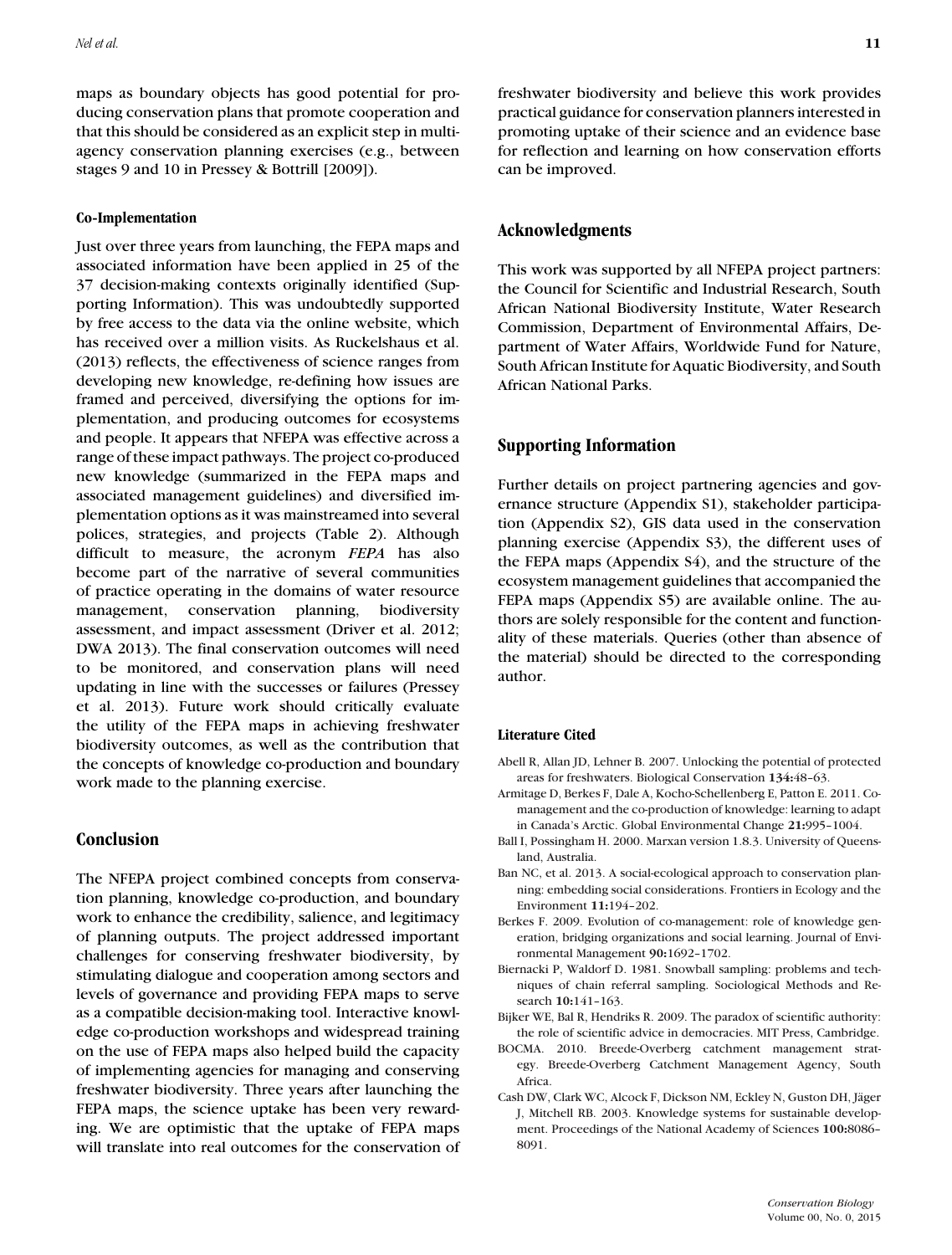maps as boundary objects has good potential for producing conservation plans that promote cooperation and that this should be considered as an explicit step in multiagency conservation planning exercises (e.g., between stages 9 and 10 in Pressey & Bottrill [2009]).

#### **Co-Implementation**

Just over three years from launching, the FEPA maps and associated information have been applied in 25 of the 37 decision-making contexts originally identified (Supporting Information). This was undoubtedly supported by free access to the data via the online website, which has received over a million visits. As Ruckelshaus et al. (2013) reflects, the effectiveness of science ranges from developing new knowledge, re-defining how issues are framed and perceived, diversifying the options for implementation, and producing outcomes for ecosystems and people. It appears that NFEPA was effective across a range of these impact pathways. The project co-produced new knowledge (summarized in the FEPA maps and associated management guidelines) and diversified implementation options as it was mainstreamed into several polices, strategies, and projects (Table 2). Although difficult to measure, the acronym *FEPA* has also become part of the narrative of several communities of practice operating in the domains of water resource management, conservation planning, biodiversity assessment, and impact assessment (Driver et al. 2012; DWA 2013). The final conservation outcomes will need to be monitored, and conservation plans will need updating in line with the successes or failures (Pressey et al. 2013). Future work should critically evaluate the utility of the FEPA maps in achieving freshwater biodiversity outcomes, as well as the contribution that the concepts of knowledge co-production and boundary work made to the planning exercise.

## **Conclusion**

The NFEPA project combined concepts from conservation planning, knowledge co-production, and boundary work to enhance the credibility, salience, and legitimacy of planning outputs. The project addressed important challenges for conserving freshwater biodiversity, by stimulating dialogue and cooperation among sectors and levels of governance and providing FEPA maps to serve as a compatible decision-making tool. Interactive knowledge co-production workshops and widespread training on the use of FEPA maps also helped build the capacity of implementing agencies for managing and conserving freshwater biodiversity. Three years after launching the FEPA maps, the science uptake has been very rewarding. We are optimistic that the uptake of FEPA maps will translate into real outcomes for the conservation of freshwater biodiversity and believe this work provides practical guidance for conservation planners interested in promoting uptake of their science and an evidence base for reflection and learning on how conservation efforts can be improved.

#### **Acknowledgments**

This work was supported by all NFEPA project partners: the Council for Scientific and Industrial Research, South African National Biodiversity Institute, Water Research Commission, Department of Environmental Affairs, Department of Water Affairs, Worldwide Fund for Nature, South African Institute for Aquatic Biodiversity, and South African National Parks.

# **Supporting Information**

Further details on project partnering agencies and governance structure (Appendix S1), stakeholder participation (Appendix S2), GIS data used in the conservation planning exercise (Appendix S3), the different uses of the FEPA maps (Appendix S4), and the structure of the ecosystem management guidelines that accompanied the FEPA maps (Appendix S5) are available online. The authors are solely responsible for the content and functionality of these materials. Queries (other than absence of the material) should be directed to the corresponding author.

#### **Literature Cited**

- Abell R, Allan JD, Lehner B. 2007. Unlocking the potential of protected areas for freshwaters. Biological Conservation **134:**48–63.
- Armitage D, Berkes F, Dale A, Kocho-Schellenberg E, Patton E. 2011. Comanagement and the co-production of knowledge: learning to adapt in Canada's Arctic. Global Environmental Change **21:**995–1004.
- Ball I, Possingham H. 2000. Marxan version 1.8.3. University of Queensland, Australia.
- Ban NC, et al. 2013. A social-ecological approach to conservation planning: embedding social considerations. Frontiers in Ecology and the Environment **11:**194–202.
- Berkes F. 2009. Evolution of co-management: role of knowledge generation, bridging organizations and social learning. Journal of Environmental Management **90:**1692–1702.
- Biernacki P, Waldorf D. 1981. Snowball sampling: problems and techniques of chain referral sampling. Sociological Methods and Research **10:**141–163.
- Bijker WE, Bal R, Hendriks R. 2009. The paradox of scientific authority: the role of scientific advice in democracies. MIT Press, Cambridge.
- BOCMA. 2010. Breede-Overberg catchment management strategy. Breede-Overberg Catchment Management Agency, South Africa.
- Cash DW, Clark WC, Alcock F, Dickson NM, Eckley N, Guston DH, Jäger J, Mitchell RB. 2003. Knowledge systems for sustainable development. Proceedings of the National Academy of Sciences **100:**8086– 8091.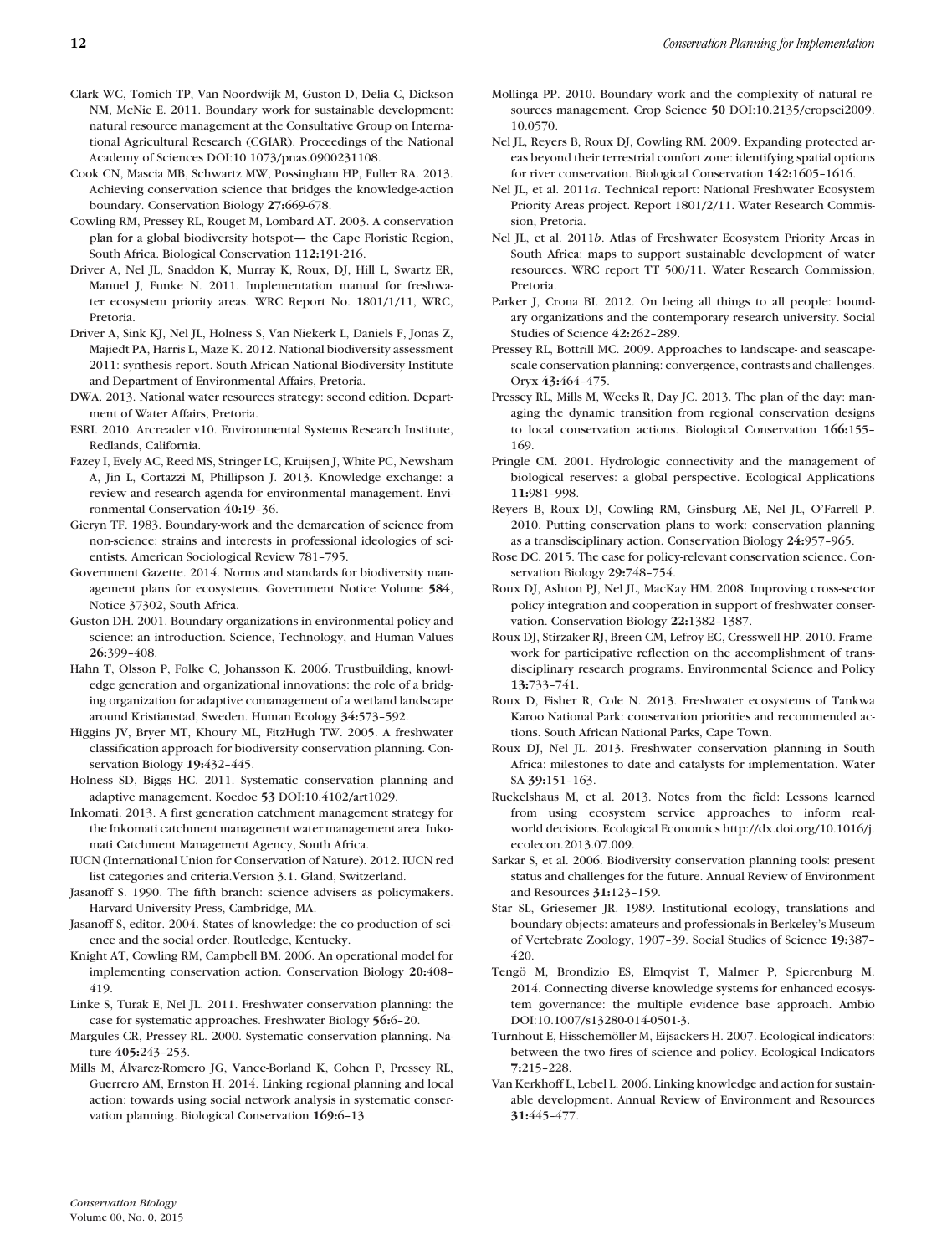- Clark WC, Tomich TP, Van Noordwijk M, Guston D, Delia C, Dickson NM, McNie E. 2011. Boundary work for sustainable development: natural resource management at the Consultative Group on International Agricultural Research (CGIAR). Proceedings of the National Academy of Sciences DOI:10.1073/pnas.0900231108.
- Cook CN, Mascia MB, Schwartz MW, Possingham HP, Fuller RA. 2013. Achieving conservation science that bridges the knowledge-action boundary. Conservation Biology **27:**669-678.
- Cowling RM, Pressey RL, Rouget M, Lombard AT. 2003. A conservation plan for a global biodiversity hotspot— the Cape Floristic Region, South Africa. Biological Conservation **112:**191-216.
- Driver A, Nel JL, Snaddon K, Murray K, Roux, DJ, Hill L, Swartz ER, Manuel J, Funke N. 2011. Implementation manual for freshwater ecosystem priority areas. WRC Report No. 1801/1/11, WRC, Pretoria.
- Driver A, Sink KJ, Nel JL, Holness S, Van Niekerk L, Daniels F, Jonas Z, Majiedt PA, Harris L, Maze K. 2012. National biodiversity assessment 2011: synthesis report. South African National Biodiversity Institute and Department of Environmental Affairs, Pretoria.
- DWA. 2013. National water resources strategy: second edition. Department of Water Affairs, Pretoria.
- ESRI. 2010. Arcreader v10. Environmental Systems Research Institute, Redlands, California.
- Fazey I, Evely AC, Reed MS, Stringer LC, Kruijsen J, White PC, Newsham A, Jin L, Cortazzi M, Phillipson J. 2013. Knowledge exchange: a review and research agenda for environmental management. Environmental Conservation **40:**19–36.
- Gieryn TF. 1983. Boundary-work and the demarcation of science from non-science: strains and interests in professional ideologies of scientists. American Sociological Review 781–795.
- Government Gazette. 2014. Norms and standards for biodiversity management plans for ecosystems. Government Notice Volume **584**, Notice 37302, South Africa.
- Guston DH. 2001. Boundary organizations in environmental policy and science: an introduction. Science, Technology, and Human Values **26:**399–408.
- Hahn T, Olsson P, Folke C, Johansson K. 2006. Trustbuilding, knowledge generation and organizational innovations: the role of a bridging organization for adaptive comanagement of a wetland landscape around Kristianstad, Sweden. Human Ecology **34:**573–592.
- Higgins JV, Bryer MT, Khoury ML, FitzHugh TW. 2005. A freshwater classification approach for biodiversity conservation planning. Conservation Biology **19:**432–445.
- Holness SD, Biggs HC. 2011. Systematic conservation planning and adaptive management. Koedoe **53** DOI:10.4102/art1029.
- Inkomati. 2013. A first generation catchment management strategy for the Inkomati catchment management water management area. Inkomati Catchment Management Agency, South Africa.
- IUCN (International Union for Conservation of Nature). 2012. IUCN red list categories and criteria.Version 3.1. Gland, Switzerland.
- Jasanoff S. 1990. The fifth branch: science advisers as policymakers. Harvard University Press, Cambridge, MA.
- Jasanoff S, editor. 2004. States of knowledge: the co-production of science and the social order. Routledge, Kentucky.
- Knight AT, Cowling RM, Campbell BM. 2006. An operational model for implementing conservation action. Conservation Biology **20:**408– 419.
- Linke S, Turak E, Nel JL. 2011. Freshwater conservation planning: the case for systematic approaches. Freshwater Biology **56:**6–20.
- Margules CR, Pressey RL. 2000. Systematic conservation planning. Nature **405:**243–253.
- Mills M, Alvarez-Romero JG, Vance-Borland K, Cohen P, Pressey RL, ´ Guerrero AM, Ernston H. 2014. Linking regional planning and local action: towards using social network analysis in systematic conservation planning. Biological Conservation **169:**6–13.
- Mollinga PP. 2010. Boundary work and the complexity of natural resources management. Crop Science **50** DOI:10.2135/cropsci2009. 10.0570.
- Nel JL, Reyers B, Roux DJ, Cowling RM. 2009. Expanding protected areas beyond their terrestrial comfort zone: identifying spatial options for river conservation. Biological Conservation **142:**1605–1616.
- Nel JL, et al. 2011*a*. Technical report: National Freshwater Ecosystem Priority Areas project. Report 1801/2/11. Water Research Commission, Pretoria.
- Nel JL, et al. 2011*b*. Atlas of Freshwater Ecosystem Priority Areas in South Africa: maps to support sustainable development of water resources. WRC report TT 500/11. Water Research Commission, Pretoria.
- Parker J, Crona BI. 2012. On being all things to all people: boundary organizations and the contemporary research university. Social Studies of Science **42:**262–289.
- Pressey RL, Bottrill MC. 2009. Approaches to landscape- and seascapescale conservation planning: convergence, contrasts and challenges. Oryx **43:**464–475.
- Pressey RL, Mills M, Weeks R, Day JC. 2013. The plan of the day: managing the dynamic transition from regional conservation designs to local conservation actions. Biological Conservation **166:**155– 169.
- Pringle CM. 2001. Hydrologic connectivity and the management of biological reserves: a global perspective. Ecological Applications **11:**981–998.
- Reyers B, Roux DJ, Cowling RM, Ginsburg AE, Nel JL, O'Farrell P. 2010. Putting conservation plans to work: conservation planning as a transdisciplinary action. Conservation Biology **24:**957–965.
- Rose DC. 2015. The case for policy-relevant conservation science. Conservation Biology **29:**748–754.
- Roux DJ, Ashton PJ, Nel JL, MacKay HM. 2008. Improving cross-sector policy integration and cooperation in support of freshwater conservation. Conservation Biology **22:**1382–1387.
- Roux DJ, Stirzaker RJ, Breen CM, Lefroy EC, Cresswell HP. 2010. Framework for participative reflection on the accomplishment of transdisciplinary research programs. Environmental Science and Policy **13:**733–741.
- Roux D, Fisher R, Cole N. 2013. Freshwater ecosystems of Tankwa Karoo National Park: conservation priorities and recommended actions. South African National Parks, Cape Town.
- Roux DJ, Nel JL. 2013. Freshwater conservation planning in South Africa: milestones to date and catalysts for implementation. Water SA **39:**151–163.
- Ruckelshaus M, et al. 2013. Notes from the field: Lessons learned from using ecosystem service approaches to inform realworld decisions. Ecological Economics http://dx.doi.org/10.1016/j. ecolecon.2013.07.009.
- Sarkar S, et al. 2006. Biodiversity conservation planning tools: present status and challenges for the future. Annual Review of Environment and Resources **31:**123–159.
- Star SL, Griesemer JR. 1989. Institutional ecology, translations and boundary objects: amateurs and professionals in Berkeley's Museum of Vertebrate Zoology, 1907–39. Social Studies of Science **19:**387– 420.
- Tengö M, Brondizio ES, Elmqvist T, Malmer P, Spierenburg M. 2014. Connecting diverse knowledge systems for enhanced ecosystem governance: the multiple evidence base approach. Ambio DOI:10.1007/s13280-014-0501-3.
- Turnhout E, Hisschemöller M, Eijsackers H. 2007. Ecological indicators: between the two fires of science and policy. Ecological Indicators **7:**215–228.
- Van Kerkhoff L, Lebel L. 2006. Linking knowledge and action for sustainable development. Annual Review of Environment and Resources **31:**445–477.